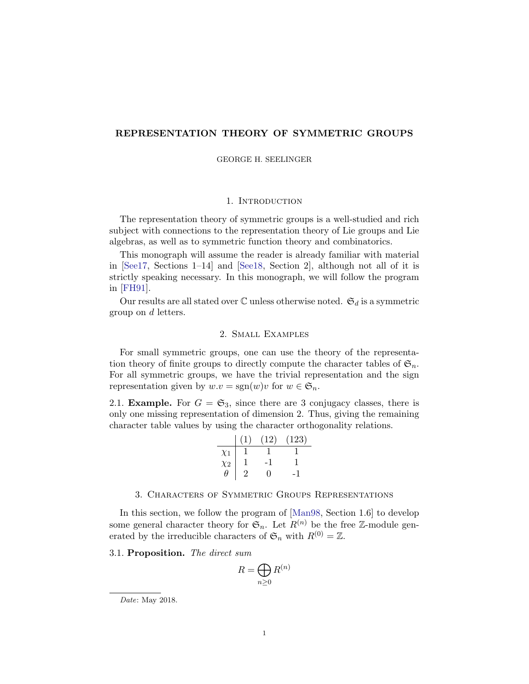# REPRESENTATION THEORY OF SYMMETRIC GROUPS

GEORGE H. SEELINGER

## 1. INTRODUCTION

The representation theory of symmetric groups is a well-studied and rich subject with connections to the representation theory of Lie groups and Lie algebras, as well as to symmetric function theory and combinatorics.

This monograph will assume the reader is already familiar with material in [\[See17,](#page-8-0) Sections 1–14] and [\[See18,](#page-8-1) Section 2], although not all of it is strictly speaking necessary. In this monograph, we will follow the program in [\[FH91\]](#page-8-2).

Our results are all stated over  $\mathbb C$  unless otherwise noted.  $\mathfrak{S}_d$  is a symmetric group on d letters.

## 2. Small Examples

For small symmetric groups, one can use the theory of the representation theory of finite groups to directly compute the character tables of  $\mathfrak{S}_n$ . For all symmetric groups, we have the trivial representation and the sign representation given by  $w.v = \text{sgn}(w)v$  for  $w \in \mathfrak{S}_n$ .

2.1. **Example.** For  $G = \mathfrak{S}_3$ , since there are 3 conjugacy classes, there is only one missing representation of dimension 2. Thus, giving the remaining character table values by using the character orthogonality relations.

|          | (1) | (12) | (123) |
|----------|-----|------|-------|
| $\chi_1$ |     |      |       |
| $\chi_2$ |     |      |       |
| H        |     | 0    |       |

#### 3. Characters of Symmetric Groups Representations

In this section, we follow the program of [\[Man98,](#page-8-3) Section 1.6] to develop some general character theory for  $\mathfrak{S}_n$ . Let  $R^{(n)}$  be the free Z-module generated by the irreducible characters of  $\mathfrak{S}_n$  with  $R^{(0)} = \mathbb{Z}$ .

3.1. Proposition. The direct sum

$$
R = \bigoplus_{n \ge 0} R^{(n)}
$$

Date: May 2018.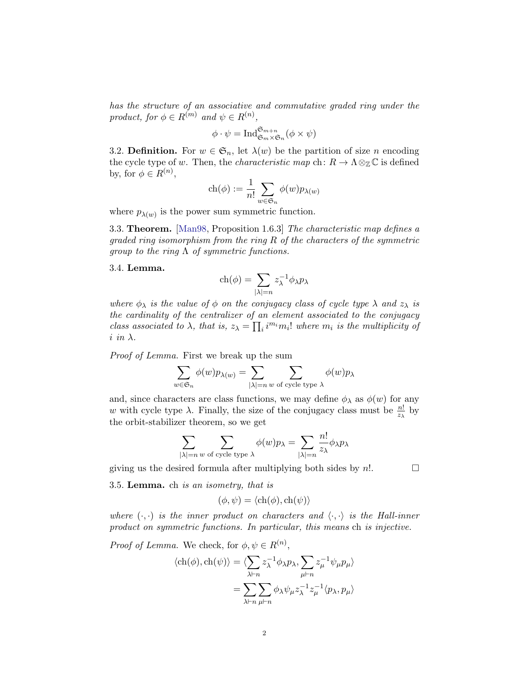has the structure of an associative and commutative graded ring under the product, for  $\phi \in R^{(m)}$  and  $\psi \in R^{(n)}$ ,

$$
\phi \cdot \psi = \operatorname{Ind}_{\mathfrak{S}_m \times \mathfrak{S}_n}^{\mathfrak{S}_{m+n}} (\phi \times \psi)
$$

3.2. Definition. For  $w \in \mathfrak{S}_n$ , let  $\lambda(w)$  be the partition of size n encoding the cycle type of w. Then, the *characteristic map* ch:  $R \to \Lambda \otimes_{\mathbb{Z}} \mathbb{C}$  is defined by, for  $\phi \in R^{(n)}$ ,

$$
\operatorname{ch}(\phi):=\frac{1}{n!}\sum_{w\in\mathfrak{S}_n}\phi(w)p_{\lambda(w)}
$$

where  $p_{\lambda(w)}$  is the power sum symmetric function.

3.3. Theorem. [\[Man98,](#page-8-3) Proposition 1.6.3] The characteristic map defines a qraded ring isomorphism from the ring  $R$  of the characters of the symmetric group to the ring  $\Lambda$  of symmetric functions.

#### 3.4. Lemma.

$$
ch(\phi) = \sum_{|\lambda|=n} z_{\lambda}^{-1} \phi_{\lambda} p_{\lambda}
$$

where  $\phi_{\lambda}$  is the value of  $\phi$  on the conjugacy class of cycle type  $\lambda$  and  $z_{\lambda}$  is the cardinality of the centralizer of an element associated to the conjugacy class associated to  $\lambda$ , that is,  $z_{\lambda} = \prod_i i^{m_i} m_i!$  where  $m_i$  is the multiplicity of  $i$  in  $\lambda$ .

Proof of Lemma. First we break up the sum

$$
\sum_{w \in \mathfrak{S}_n} \phi(w) p_{\lambda(w)} = \sum_{|\lambda|=n} \sum_{w \text{ of cycle type } \lambda} \phi(w) p_{\lambda}
$$

and, since characters are class functions, we may define  $\phi_{\lambda}$  as  $\phi(w)$  for any w with cycle type  $\lambda$ . Finally, the size of the conjugacy class must be  $\frac{n!}{z_{\lambda}}$  by the orbit-stabilizer theorem, so we get

$$
\sum_{|\lambda|=n \text{ $w$ of cycle type $\lambda$}} \phi(w) p_{\lambda} = \sum_{|\lambda|=n} \frac{n!}{z_{\lambda}} \phi_{\lambda} p_{\lambda}
$$

giving us the desired formula after multiplying both sides by  $n!$ .

3.5. Lemma. ch is an isometry, that is

$$
(\phi, \psi) = \langle \text{ch}(\phi), \text{ch}(\psi) \rangle
$$

where  $(\cdot, \cdot)$  is the inner product on characters and  $\langle \cdot, \cdot \rangle$  is the Hall-inner product on symmetric functions. In particular, this means ch is injective.

*Proof of Lemma.* We check, for  $\phi, \psi \in R^{(n)}$ ,

$$
\langle ch(\phi), ch(\psi) \rangle = \langle \sum_{\lambda \vdash n} z_{\lambda}^{-1} \phi_{\lambda} p_{\lambda}, \sum_{\mu \vdash n} z_{\mu}^{-1} \psi_{\mu} p_{\mu} \rangle
$$

$$
= \sum_{\lambda \vdash n} \sum_{\mu \vdash n} \phi_{\lambda} \psi_{\mu} z_{\lambda}^{-1} z_{\mu}^{-1} \langle p_{\lambda}, p_{\mu} \rangle
$$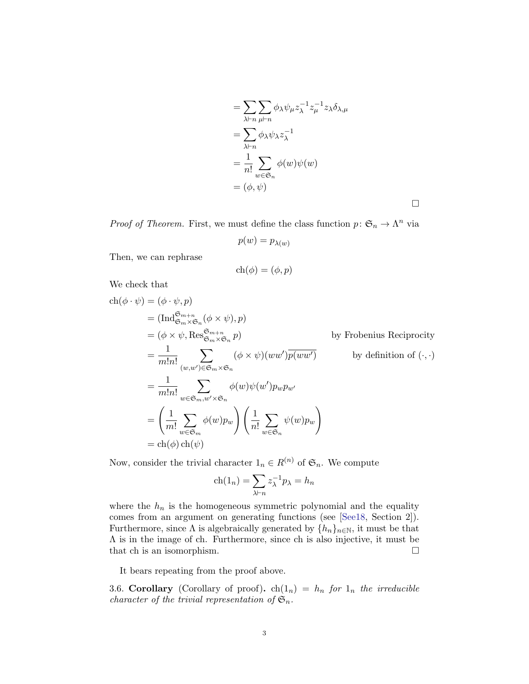$$
= \sum_{\lambda \vdash n} \sum_{\mu \vdash n} \phi_{\lambda} \psi_{\mu} z_{\lambda}^{-1} z_{\mu}^{-1} z_{\lambda} \delta_{\lambda, \mu}
$$
  
= 
$$
\sum_{\lambda \vdash n} \phi_{\lambda} \psi_{\lambda} z_{\lambda}^{-1}
$$
  
= 
$$
\frac{1}{n!} \sum_{w \in \mathfrak{S}_n} \phi(w) \psi(w)
$$
  
= 
$$
(\phi, \psi)
$$

 $\Box$ 

*Proof of Theorem.* First, we must define the class function  $p: \mathfrak{S}_n \to \Lambda^n$  via

$$
p(w)=p_{\lambda(w)}
$$

Then, we can rephrase

$$
ch(\phi) = (\phi, p)
$$

We check that

$$
ch(\phi \cdot \psi) = (\phi \cdot \psi, p)
$$
  
\n
$$
= (Ind_{\mathfrak{S}_m \times \mathfrak{S}_n}^{\mathfrak{S}_{m+n}} (\phi \times \psi), p)
$$
  
\n
$$
= (\phi \times \psi, Res_{\mathfrak{S}_m \times \mathfrak{S}_n}^{\mathfrak{S}_{m+n}} p)
$$
 by Frobenius Reciprocity  
\n
$$
= \frac{1}{m!n!} \sum_{(w,w') \in \mathfrak{S}_m \times \mathfrak{S}_n} (\phi \times \psi)(ww') \overline{p(ww')}
$$
 by definition of (\cdot, \cdot)  
\n
$$
= \frac{1}{m!n!} \sum_{w \in \mathfrak{S}_m, w' \times \mathfrak{S}_n} \phi(w)\psi(w')p_wp_{w'}
$$
  
\n
$$
= \left(\frac{1}{m!} \sum_{w \in \mathfrak{S}_m} \phi(w)p_w\right) \left(\frac{1}{n!} \sum_{w \in \mathfrak{S}_n} \psi(w)p_w\right)
$$
  
\n
$$
= ch(\phi) ch(\psi)
$$

Now, consider the trivial character  $1_n \in R^{(n)}$  of  $\mathfrak{S}_n$ . We compute

$$
ch(1_n) = \sum_{\lambda \vdash n} z_{\lambda}^{-1} p_{\lambda} = h_n
$$

where the  $h_n$  is the homogeneous symmetric polynomial and the equality comes from an argument on generating functions (see [\[See18,](#page-8-1) Section 2]). Furthermore, since  $\Lambda$  is algebraically generated by  $\{h_n\}_{n\in\mathbb{N}}$ , it must be that  $\Lambda$  is in the image of ch. Furthermore, since ch is also injective, it must be that ch is an isomorphism.

It bears repeating from the proof above.

3.6. Corollary (Corollary of proof).  $ch(1_n) = h_n$  for  $1_n$  the irreducible character of the trivial representation of  $\mathfrak{S}_n$ .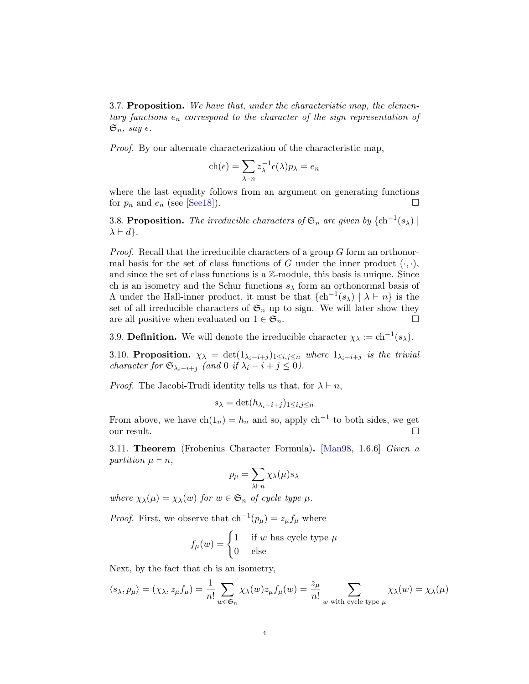3.7. Proposition. We have that, under the characteristic map, the elementary functions  $e_n$  correspond to the character of the sign representation of  $\mathfrak{S}_n$ , say  $\epsilon$ .

Proof. By our alternate characterization of the characteristic map,

$$
ch(\epsilon) = \sum_{\lambda \vdash n} z_{\lambda}^{-1} \epsilon(\lambda) p_{\lambda} = e_n
$$

where the last equality follows from an argument on generating functions for  $p_n$  and  $e_n$  (see [\[See18\]](#page-8-1)).

3.8. Proposition. The irreducible characters of  $\mathfrak{S}_n$  are given by  $\{\ch^{-1}(s_\lambda)\mid$  $\lambda \vdash d$ .

Proof. Recall that the irreducible characters of a group G form an orthonormal basis for the set of class functions of G under the inner product  $(\cdot, \cdot)$ , and since the set of class functions is a Z-module, this basis is unique. Since ch is an isometry and the Schur functions  $s_{\lambda}$  form an orthonormal basis of A under the Hall-inner product, it must be that  $\{ch^{-1}(s_\lambda) \mid \lambda \vdash n\}$  is the set of all irreducible characters of  $\mathfrak{S}_n$  up to sign. We will later show they are all positive when evaluated on  $1 \in \mathfrak{S}_n$ .

3.9. **Definition.** We will denote the irreducible character  $\chi_{\lambda} := \text{ch}^{-1}(s_{\lambda})$ .

3.10. Proposition.  $\chi_{\lambda} = \det(1_{\lambda_i - i + j})_{1 \leq i, j \leq n}$  where  $1_{\lambda_i - i + j}$  is the trivial character for  $\mathfrak{S}_{\lambda_i-i+j}$  (and 0 if  $\lambda_i-i+j \leq 0$ ).

*Proof.* The Jacobi-Trudi identity tells us that, for  $\lambda \vdash n$ ,

$$
s_{\lambda} = \det(h_{\lambda_i - i + j})_{1 \leq i, j \leq n}
$$

From above, we have  $\text{ch}(1_n) = h_n$  and so, apply  $\text{ch}^{-1}$  to both sides, we get our result.  $\Box$ 

3.11. Theorem (Frobenius Character Formula). [\[Man98,](#page-8-3) 1.6.6] Given a partition  $\mu \vdash n$ ,

$$
p_{\mu} = \sum_{\lambda \vdash n} \chi_{\lambda}(\mu) s_{\lambda}
$$

where  $\chi_{\lambda}(\mu) = \chi_{\lambda}(w)$  for  $w \in \mathfrak{S}_n$  of cycle type  $\mu$ .

*Proof.* First, we observe that  $\mathrm{ch}^{-1}(p_{\mu}) = z_{\mu} f_{\mu}$  where

$$
f_{\mu}(w) = \begin{cases} 1 & \text{if } w \text{ has cycle type } \mu \\ 0 & \text{else} \end{cases}
$$

Next, by the fact that ch is an isometry,

$$
\langle s_{\lambda}, p_{\mu} \rangle = (\chi_{\lambda}, z_{\mu} f_{\mu}) = \frac{1}{n!} \sum_{w \in \mathfrak{S}_n} \chi_{\lambda}(w) z_{\mu} f_{\mu}(w) = \frac{z_{\mu}}{n!} \sum_{w \text{ with cycle type } \mu} \chi_{\lambda}(w) = \chi_{\lambda}(\mu)
$$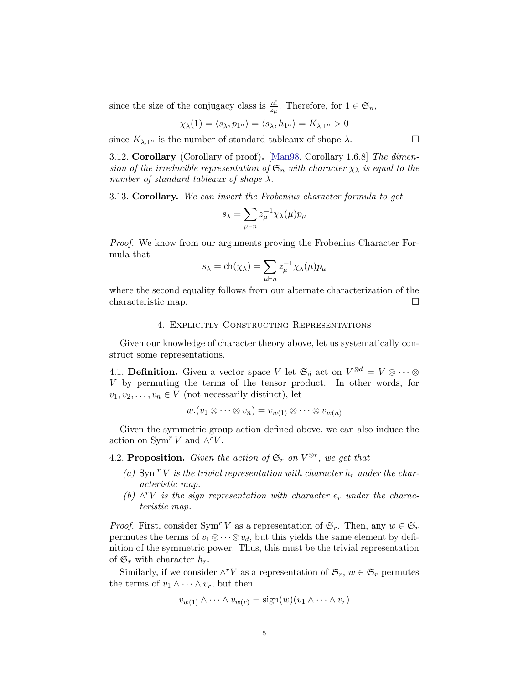since the size of the conjugacy class is  $\frac{n!}{z_{\mu}}$ . Therefore, for  $1 \in \mathfrak{S}_n$ ,

$$
\chi_{\lambda}(1) = \langle s_{\lambda}, p_{1^n} \rangle = \langle s_{\lambda}, h_{1^n} \rangle = K_{\lambda, 1^n} > 0
$$

since  $K_{\lambda,1^n}$  is the number of standard tableaux of shape  $\lambda$ .

3.12. Corollary (Corollary of proof). [\[Man98,](#page-8-3) Corollary 1.6.8] The dimension of the irreducible representation of  $\mathfrak{S}_n$  with character  $\chi_{\lambda}$  is equal to the number of standard tableaux of shape  $\lambda$ .

3.13. Corollary. We can invert the Frobenius character formula to get

$$
s_{\lambda} = \sum_{\mu \vdash n} z_{\mu}^{-1} \chi_{\lambda}(\mu) p_{\mu}
$$

Proof. We know from our arguments proving the Frobenius Character Formula that

$$
s_{\lambda} = \text{ch}(\chi_{\lambda}) = \sum_{\mu \vdash n} z_{\mu}^{-1} \chi_{\lambda}(\mu) p_{\mu}
$$

where the second equality follows from our alternate characterization of the characteristic map.

### 4. Explicitly Constructing Representations

Given our knowledge of character theory above, let us systematically construct some representations.

4.1. **Definition.** Given a vector space V let  $\mathfrak{S}_d$  act on  $V^{\otimes d} = V \otimes \cdots \otimes$ V by permuting the terms of the tensor product. In other words, for  $v_1, v_2, \ldots, v_n \in V$  (not necessarily distinct), let

$$
w.(v_1 \otimes \cdots \otimes v_n) = v_{w(1)} \otimes \cdots \otimes v_{w(n)}
$$

Given the symmetric group action defined above, we can also induce the action on Sym<sup>r</sup> V and  $\wedge$ <sup>r</sup>V.

4.2. Proposition. Given the action of  $\mathfrak{S}_r$  on  $V^{\otimes r}$ , we get that

- (a)  $\text{Sym}^r V$  is the trivial representation with character  $h_r$  under the characteristic map.
- (b)  $\wedge^r V$  is the sign representation with character  $e_r$  under the characteristic map.

*Proof.* First, consider Sym<sup>r</sup> V as a representation of  $\mathfrak{S}_r$ . Then, any  $w \in \mathfrak{S}_r$ permutes the terms of  $v_1 \otimes \cdots \otimes v_d$ , but this yields the same element by definition of the symmetric power. Thus, this must be the trivial representation of  $\mathfrak{S}_r$  with character  $h_r$ .

Similarly, if we consider  $\wedge^r V$  as a representation of  $\mathfrak{S}_r$ ,  $w \in \mathfrak{S}_r$  permutes the terms of  $v_1 \wedge \cdots \wedge v_r$ , but then

$$
v_{w(1)} \wedge \cdots \wedge v_{w(r)} = \text{sign}(w)(v_1 \wedge \cdots \wedge v_r)
$$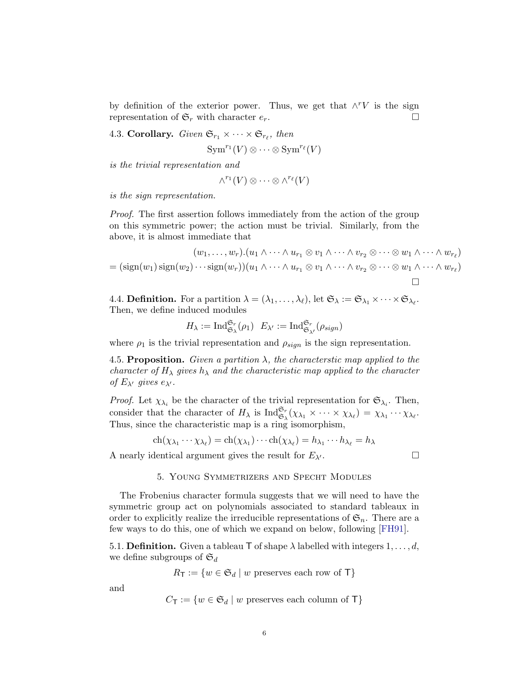by definition of the exterior power. Thus, we get that  $\wedge^r V$  is the sign representation of  $\mathfrak{S}_r$  with character  $e_r$ .

4.3. Corollary. Given  $\mathfrak{S}_{r_1} \times \cdots \times \mathfrak{S}_{r_\ell}$ , then

 $\mathrm{Sym}^{r_1}(V) \otimes \cdots \otimes \mathrm{Sym}^{r_\ell}(V)$ 

is the trivial representation and

$$
\wedge^{r_1}(V)\otimes\cdots\otimes\wedge^{r_\ell}(V)
$$

is the sign representation.

Proof. The first assertion follows immediately from the action of the group on this symmetric power; the action must be trivial. Similarly, from the above, it is almost immediate that

$$
(w_1, \ldots, w_r) \cdot (u_1 \wedge \cdots \wedge u_{r_1} \otimes v_1 \wedge \cdots \wedge v_{r_2} \otimes \cdots \otimes w_1 \wedge \cdots \wedge w_{r_\ell})
$$
  
= 
$$
(\text{sign}(w_1) \text{sign}(w_2) \cdots \text{sign}(w_r)) (u_1 \wedge \cdots \wedge u_{r_1} \otimes v_1 \wedge \cdots \wedge v_{r_2} \otimes \cdots \otimes w_1 \wedge \cdots \wedge w_{r_\ell})
$$

4.4. **Definition.** For a partition  $\lambda = (\lambda_1, \ldots, \lambda_\ell)$ , let  $\mathfrak{S}_\lambda := \mathfrak{S}_{\lambda_1} \times \cdots \times \mathfrak{S}_{\lambda_\ell}$ . Then, we define induced modules

$$
H_\lambda:=\mathrm{Ind}^{\mathfrak{S}_r}_{\mathfrak{S}_\lambda}(\rho_1)\ \ E_{\lambda'}:=\mathrm{Ind}^{\mathfrak{S}_r}_{\mathfrak{S}_{\lambda'}}(\rho_{sign})
$$

where  $\rho_1$  is the trivial representation and  $\rho_{sign}$  is the sign representation.

4.5. Proposition. Given a partition  $\lambda$ , the characterstic map applied to the character of  $H_{\lambda}$  gives  $h_{\lambda}$  and the characteristic map applied to the character of  $E_{\lambda'}$  gives  $e_{\lambda'}$ .

*Proof.* Let  $\chi_{\lambda_i}$  be the character of the trivial representation for  $\mathfrak{S}_{\lambda_i}$ . Then, consider that the character of  $H_{\lambda}$  is  $\text{Ind}_{\mathfrak{S}_{\lambda}}^{\mathfrak{S}_{r}}(\chi_{\lambda_{1}} \times \cdots \times \chi_{\lambda_{\ell}}) = \chi_{\lambda_{1}} \cdots \chi_{\lambda_{\ell}}.$ Thus, since the characteristic map is a ring isomorphism,

$$
ch(\chi_{\lambda_1}\cdots\chi_{\lambda_\ell})=ch(\chi_{\lambda_1})\cdots ch(\chi_{\lambda_\ell})=h_{\lambda_1}\cdots h_{\lambda_\ell}=h_\lambda
$$

A nearly identical argument gives the result for  $E_{\lambda'}$ .

## 5. Young Symmetrizers and Specht Modules

The Frobenius character formula suggests that we will need to have the symmetric group act on polynomials associated to standard tableaux in order to explicitly realize the irreducible representations of  $\mathfrak{S}_n$ . There are a few ways to do this, one of which we expand on below, following [\[FH91\]](#page-8-2).

5.1. **Definition.** Given a tableau T of shape  $\lambda$  labelled with integers  $1, \ldots, d$ , we define subgroups of  $\mathfrak{S}_d$ 

$$
R_{\mathsf{T}} := \{ w \in \mathfrak{S}_d \mid w \text{ preserves each row of } \mathsf{T} \}
$$

and

$$
C_{\mathsf{T}} := \{ w \in \mathfrak{S}_d \mid w \text{ preserves each column of } \mathsf{T} \}
$$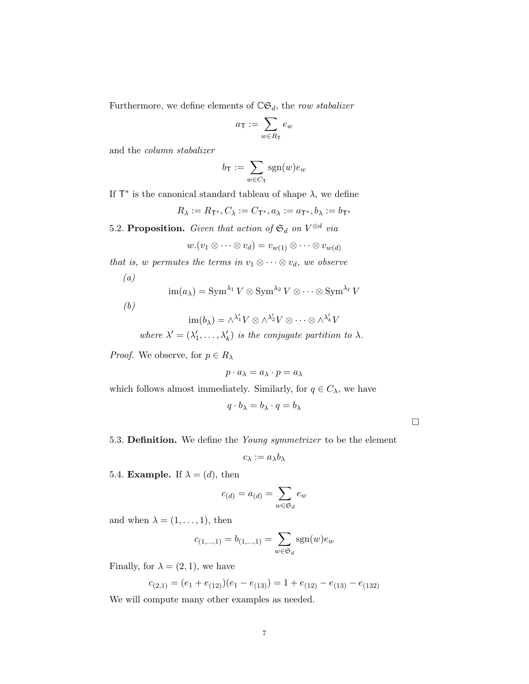Furthermore, we define elements of  $\mathbb{C}\mathfrak{S}_d$ , the row stabalizer

$$
a_{\mathsf{T}} := \sum_{w \in R_{\mathsf{T}}} e_w
$$

and the column stabalizer

$$
b_{\mathsf{T}} := \sum_{w \in C_{\mathsf{T}}} \text{sgn}(w) e_w
$$

If  $T^*$  is the canonical standard tableau of shape  $\lambda$ , we define

 $R_{\lambda} := R_{\mathsf{T}^*}, C_{\lambda} := C_{\mathsf{T}^*}, a_{\lambda} := a_{\mathsf{T}^*}, b_{\lambda} := b_{\mathsf{T}^*}$ 

5.2. Proposition. Given that action of  $\mathfrak{S}_d$  on  $V^{\otimes d}$  via

$$
w.(v_1 \otimes \cdots \otimes v_d) = v_{w(1)} \otimes \cdots \otimes v_{w(d)}
$$

that is, w permutes the terms in  $v_1 \otimes \cdots \otimes v_d$ , we observe

$$
(a)\quad
$$

$$
\operatorname{im}(a_{\lambda}) = \operatorname{Sym}^{\lambda_1} V \otimes \operatorname{Sym}^{\lambda_2} V \otimes \cdots \otimes \operatorname{Sym}^{\lambda_{\ell}} V
$$

(b)

$$
\operatorname{im}(b_{\lambda}) = \wedge^{\lambda'_1} V \otimes \wedge^{\lambda'_2} V \otimes \cdots \otimes \wedge^{\lambda'_k} V
$$

where  $\lambda' = (\lambda'_1, \dots, \lambda'_k)$  is the conjugate partition to  $\lambda$ .

*Proof.* We observe, for  $p \in R_\lambda$ 

$$
p \cdot a_\lambda = a_\lambda \cdot p = a_\lambda
$$

which follows almost immediately. Similarly, for  $q\in C_\lambda,$  we have

$$
q \cdot b_{\lambda} = b_{\lambda} \cdot q = b_{\lambda}
$$

 $\Box$ 

5.3. Definition. We define the Young symmetrizer to be the element

$$
c_\lambda:=a_\lambda b_\lambda
$$

5.4. **Example.** If  $\lambda = (d)$ , then

$$
c_{(d)} = a_{(d)} = \sum_{w \in \mathfrak{S}_d} e_w
$$

and when  $\lambda = (1, \ldots, 1)$ , then

$$
c_{(1,\ldots,1)} = b_{(1,\ldots,1)} = \sum_{w \in \mathfrak{S}_d} \text{sgn}(w) e_w
$$

Finally, for  $\lambda = (2, 1)$ , we have

$$
c_{(2,1)} = (e_1 + e_{(12)})(e_1 - e_{(13)}) = 1 + e_{(12)} - e_{(13)} - e_{(132)}
$$

We will compute many other examples as needed.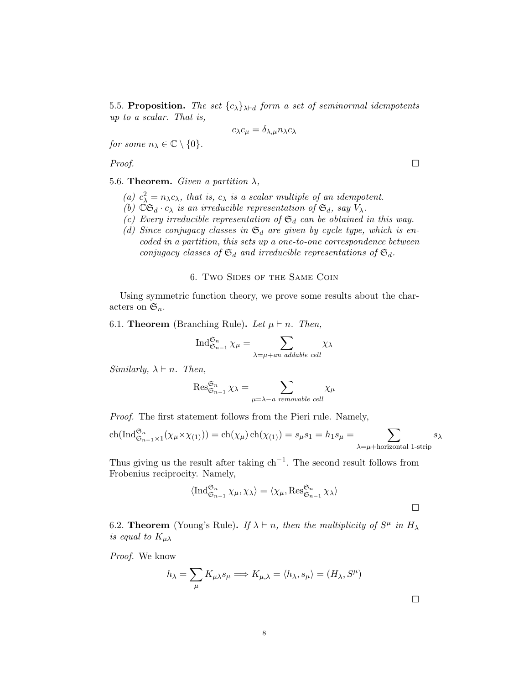5.5. Proposition. The set  ${c_{\lambda}}_{\lambda \vdash d}$  form a set of seminormal idempotents up to a scalar. That is,

$$
c_{\lambda}c_{\mu}=\delta_{\lambda,\mu}n_{\lambda}c_{\lambda}
$$

for some  $n_{\lambda} \in \mathbb{C} \setminus \{0\}.$ 

*Proof.*  $\Box$ 

5.6. Theorem. Given a partition  $\lambda$ ,

- (a)  $c_{\lambda}^2 = n_{\lambda}c_{\lambda}$ , that is,  $c_{\lambda}$  is a scalar multiple of an idempotent.
- (b)  $\mathbb{C}\mathfrak{S}_d \cdot c_\lambda$  is an irreducible representation of  $\mathfrak{S}_d$ , say  $V_\lambda$ .
- (c) Every irreducible representation of  $\mathfrak{S}_d$  can be obtained in this way.
- (d) Since conjugacy classes in  $\mathfrak{S}_d$  are given by cycle type, which is encoded in a partition, this sets up a one-to-one correspondence between conjugacy classes of  $\mathfrak{S}_d$  and irreducible representations of  $\mathfrak{S}_d$ .

### 6. Two Sides of the Same Coin

Using symmetric function theory, we prove some results about the characters on  $\mathfrak{S}_n$ .

6.1. Theorem (Branching Rule). Let  $\mu \vdash n$ . Then,

$$
\operatorname{Ind}_{\mathfrak{S}_{n-1}}^{\mathfrak{S}_n} \chi_{\mu} = \sum_{\lambda = \mu + an \text{ addable cell}} \chi_{\lambda}
$$

Similarly,  $\lambda \vdash n$ . Then,

$$
\operatorname{Res}_{\mathfrak{S}_{n-1}}^{\mathfrak{S}_n} \chi_{\lambda} = \sum_{\mu=\lambda-a \text{ removable cell}} \chi_{\mu}
$$

Proof. The first statement follows from the Pieri rule. Namely,

$$
\operatorname{ch}(\operatorname{Ind}_{\mathfrak{S}_{n-1}\times 1}^{\mathfrak{S}_n}(\chi_\mu \times \chi_{(1)})) = \operatorname{ch}(\chi_\mu)\operatorname{ch}(\chi_{(1)}) = s_\mu s_1 = h_1 s_\mu = \sum_{\lambda = \mu + \text{horizontal 1-string}} s_\lambda
$$

Thus giving us the result after taking  $\ch^{-1}$ . The second result follows from Frobenius reciprocity. Namely,

$$
\langle \operatorname{Ind}_{\mathfrak{S}_{n-1}}^{\mathfrak{S}_n} \chi_{\mu}, \chi_{\lambda} \rangle = \langle \chi_{\mu}, \operatorname{Res}_{\mathfrak{S}_{n-1}}^{\mathfrak{S}_n} \chi_{\lambda} \rangle
$$

6.2. **Theorem** (Young's Rule). If  $\lambda \vdash n$ , then the multiplicity of  $S^{\mu}$  in  $H_{\lambda}$ is equal to  $K_{\mu\lambda}$ 

Proof. We know

$$
h_{\lambda} = \sum_{\mu} K_{\mu\lambda} s_{\mu} \Longrightarrow K_{\mu,\lambda} = \langle h_{\lambda}, s_{\mu} \rangle = (H_{\lambda}, S^{\mu})
$$

 $\Box$